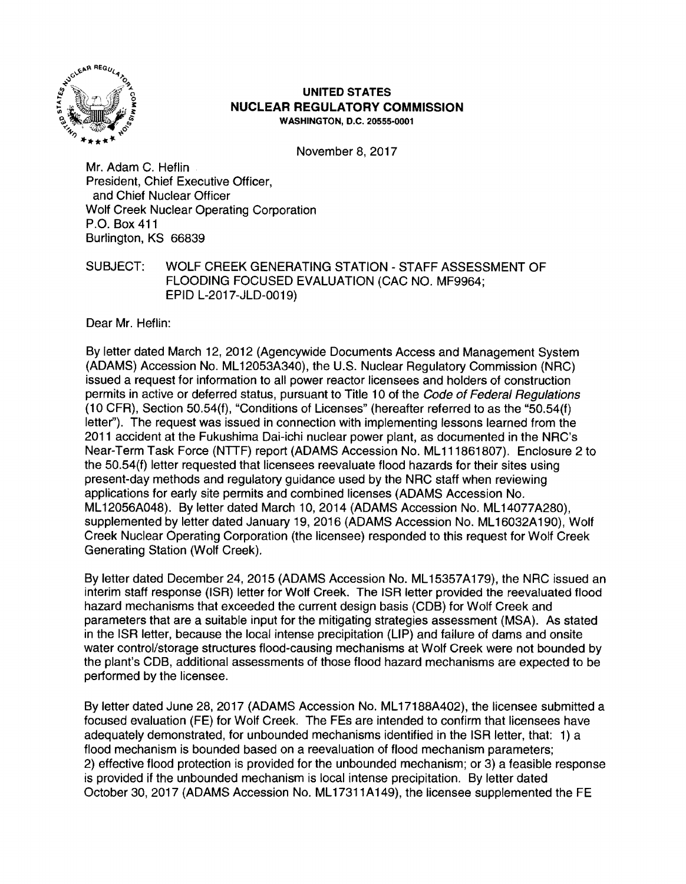

## **UNITED STATES NUCLEAR REGULATORY COMMISSION**  WASHINGTON, D.C. 20555·0001

November 8, 2017

Mr. Adam C. Heflin President, Chief Executive Officer, and Chief Nuclear Officer Wolf Creek Nuclear Operating Corporation P.O. Box 411 Burlington, KS 66839

SUBJECT: WOLF CREEK GENERATING STATION- STAFF ASSESSMENT OF FLOODING FOCUSED EVALUATION (CAC NO. MF9964; EPID L-2017-JLD-0019)

Dear Mr. Heflin:

By letter dated March 12, 2012 (Agencywide Documents Access and Management System (ADAMS) Accession No. ML 12053A340), the U.S. Nuclear Regulatory Commission (NRC) issued a request for information to all power reactor licensees and holders of construction permits in active or deferred status, pursuant to Title 10 of the Code of Federal Regulations (10 CFR), Section 50.54(f), "Conditions of Licenses" (hereafter referred to as the "50.54(f) letter''). The request was issued in connection with implementing lessons learned from the 2011 accident at the Fukushima Dai-ichi nuclear power plant, as documented in the NRC's Near-Term Task Force (NTTF) report (ADAMS Accession No. ML 111861807). Enclosure 2 to the 50.54(f) letter requested that licensees reevaluate flood hazards for their sites using present-day methods and regulatory guidance used by the NRC staff when reviewing applications for early site permits and combined licenses (ADAMS Accession No. ML12056A048). By letter dated March 10, 2014 (ADAMS Accession No. ML14077A280), supplemented by letter dated January 19, 2016 (ADAMS Accession No. ML16032A190), Wolf Creek Nuclear Operating Corporation (the licensee) responded to this request for Wolf Creek Generating Station (Wolf Creek).

By letter dated December 24, 2015 (ADAMS Accession No. ML 15357A179), the NRC issued an interim staff response (ISR) letter for Wolf Creek. The ISR letter provided the reevaluated flood hazard mechanisms that exceeded the current design basis (CDB) for Wolf Creek and parameters that are a suitable input for the mitigating strategies assessment (MSA). As stated in the ISR letter, because the local intense precipitation (LIP) and failure of dams and onsite water control/storage structures flood-causing mechanisms at Wolf Creek were not bounded by the plant's CDB, additional assessments of those flood hazard mechanisms are expected to be performed by the licensee.

By letter dated June 28, 2017 (ADAMS Accession No. ML17188A402), the licensee submitted a focused evaluation (FE) for Wolf Creek. The FEs are intended to confirm that licensees have adequately demonstrated, for unbounded mechanisms identified in the ISR letter, that: 1) a flood mechanism is bounded based on a reevaluation of flood mechanism parameters; 2) effective flood protection is provided for the unbounded mechanism; or 3) a feasible response is provided if the unbounded mechanism is local intense precipitation. By letter dated October 30, 2017 (ADAMS Accession No. ML17311A149), the licensee supplemented the FE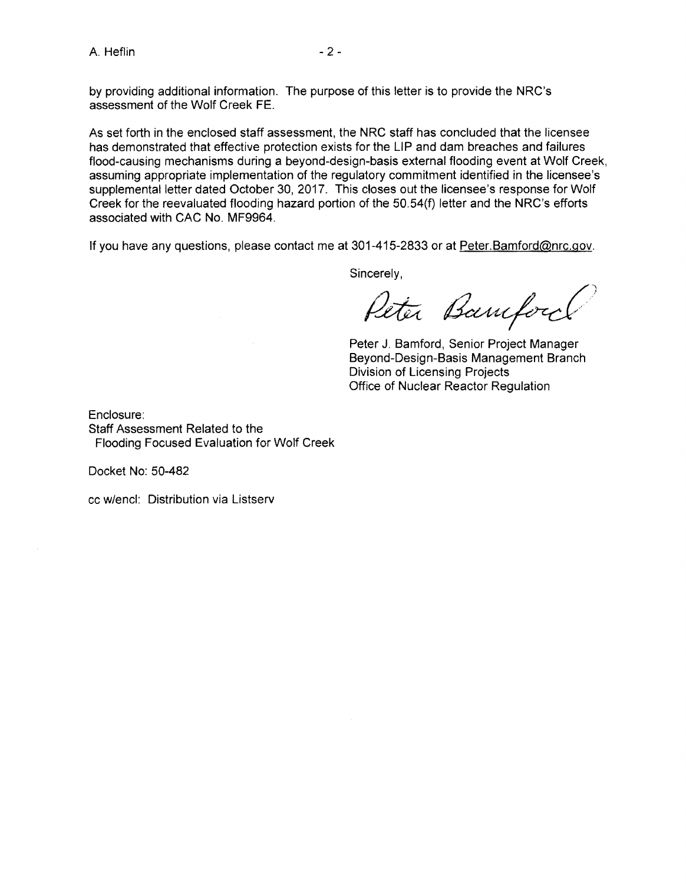by providing additional information. The purpose of this letter is to provide the NRC's assessment of the Wolf Creek FE.

As set forth in the enclosed staff assessment, the NRC staff has concluded that the licensee has demonstrated that effective protection exists for the LIP and dam breaches and failures flood-causing mechanisms during a beyond-design-basis external flooding event at Wolf Creek, assuming appropriate implementation of the regulatory commitment identified in the licensee's supplemental letter dated October 30, 2017. This closes out the licensee's response for Wolf Creek for the reevaluated flooding hazard portion of the 50.54(f) letter and the NRC's efforts associated with CAC No. MF9964.

If you have any questions, please contact me at 301-415-2833 or at Peter. Bamford@nrc.gov.

Sincerely,

Peter Bamford

Peter J. Bamford, Senior Project Manager Beyond-Design-Basis Management Branch Division of Licensing Projects Office of Nuclear Reactor Regulation

Enclosure: Staff Assessment Related to the Flooding Focused Evaluation for Wolf Creek

Docket No: 50-482

cc w/encl: Distribution via Listserv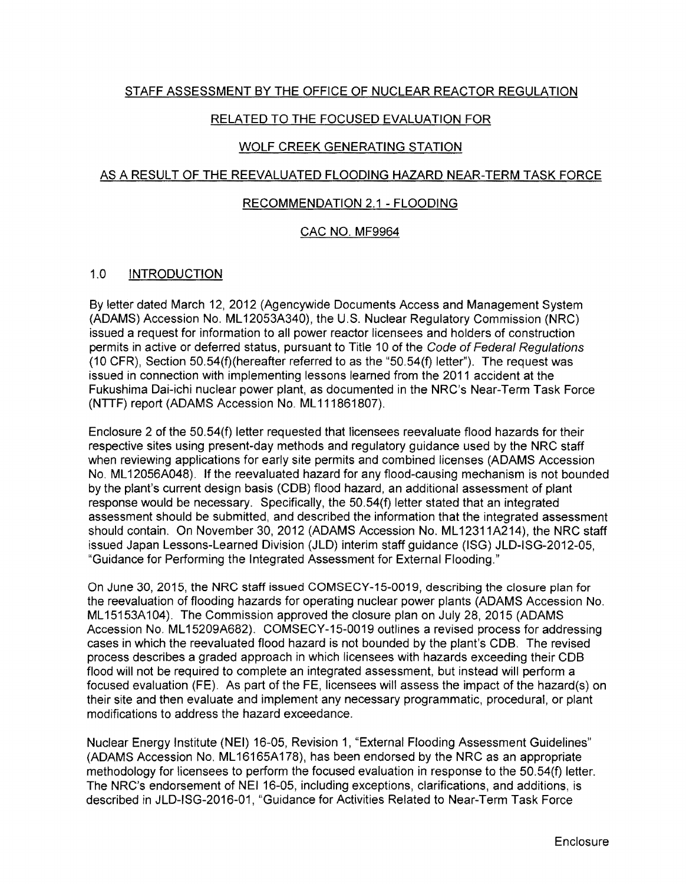## STAFF ASSESSMENT BY THE OFFICE OF NUCLEAR REACTOR REGULATION

### RELATED TO THE FOCUSED EVALUATION FOR

#### WOLF CREEK GENERATING STATION

#### AS A RESULT OF THE REEVALUATED FLOODING HAZARD NEAR-TERM TASK FORCE

#### RECOMMENDATION 2.1 - FLOODING

### CAC NO. MF9964

### 1.0 INTRODUCTION

By letter dated March 12, 2012 (Agencywide Documents Access and Management System (ADAMS) Accession No. ML 12053A340), the U.S. Nuclear Regulatory Commission (NRC) issued a request for information to all power reactor licensees and holders of construction permits in active or deferred status, pursuant to Title 10 of the Code of Federal Regulations (10 CFR), Section 50.54(f)(hereafter referred to as the "50.54(f) letter"). The request was issued in connection with implementing lessons learned from the 2011 accident at the Fukushima Dai-ichi nuclear power plant, as documented in the NRC's Near-Term Task Force (NTTF) report (ADAMS Accession No. ML 111861807).

Enclosure 2 of the 50.54(f) letter requested that licensees reevaluate flood hazards for their respective sites using present-day methods and regulatory guidance used by the NRC staff when reviewing applications for early site permits and combined licenses (ADAMS Accession No. ML 12056A048). If the reevaluated hazard for any flood-causing mechanism is not bounded by the plant's current design basis (CDB) flood hazard, an additional assessment of plant response would be necessary. Specifically, the 50.54(f) letter stated that an integrated assessment should be submitted, and described the information that the integrated assessment should contain. On November 30, 2012 (ADAMS Accession No. ML12311A214), the NRC staff issued Japan Lessons-Learned Division (JLD) interim staff guidance (ISG) JLD-ISG-2012-05, "Guidance for Performing the Integrated Assessment for External Flooding."

On June 30, 2015, the NRC staff issued COMSECY-15-0019, describing the closure plan for the reevaluation of flooding hazards for operating nuclear power plants (ADAMS Accession No. ML 15153A 104). The Commission approved the closure plan on July 28, 2015 (ADAMS Accession No. ML15209A682). COMSECY-15-0019 outlines a revised process for addressing cases in which the reevaluated flood hazard is not bounded by the plant's CDB. The revised process describes a graded approach in which licensees with hazards exceeding their CDB flood will not be required to complete an integrated assessment, but instead will perform a focused evaluation (FE). As part of the FE, licensees will assess the impact of the hazard(s) on their site and then evaluate and implement any necessary programmatic, procedural, or plant modifications to address the hazard exceedance.

Nuclear Energy Institute (NEI) 16-05, Revision 1, "External Flooding Assessment Guidelines" (ADAMS Accession No. ML 16165A178), has been endorsed by the NRC as an appropriate methodology for licensees to perform the focused evaluation in response to the 50.54(f) letter. The NRC's endorsement of NEI 16-05, including exceptions, clarifications, and additions, is described in JLD-ISG-2016-01, "Guidance for Activities Related to Near-Term Task Force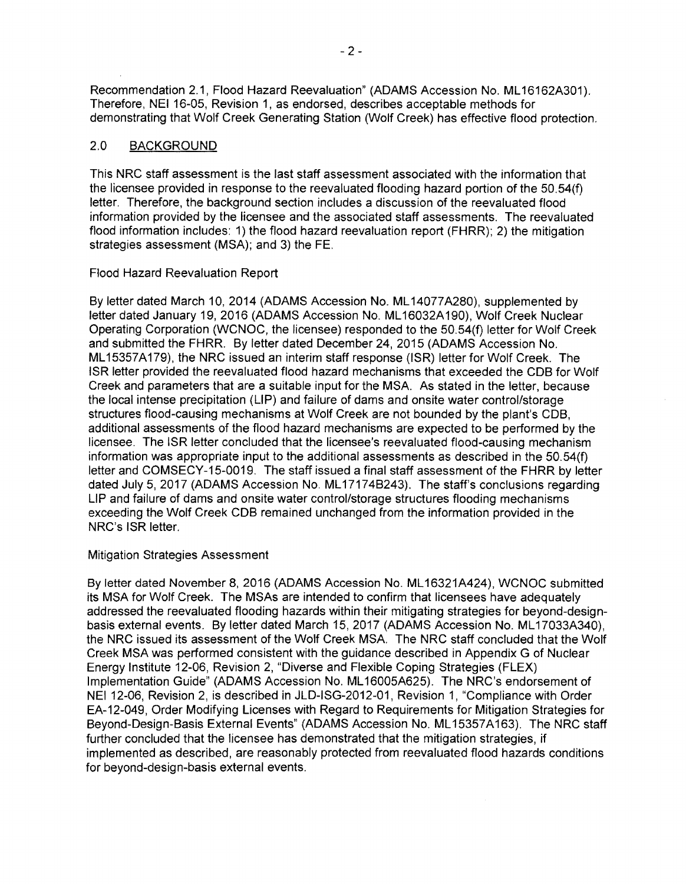Recommendation 2.1, Flood Hazard Reevaluation" (ADAMS Accession No. ML 16162A301). Therefore, NEI 16-05, Revision 1, as endorsed, describes acceptable methods for demonstrating that Wolf Creek Generating Station (Wolf Creek) has effective flood protection.

### 2.0 BACKGROUND

This NRC staff assessment is the last staff assessment associated with the information that the licensee provided in response to the reevaluated flooding hazard portion of the 50.54(f) letter. Therefore, the background section includes a discussion of the reevaluated flood information provided by the licensee and the associated staff assessments. The reevaluated flood information includes: 1) the flood hazard reevaluation report (FHRR); 2) the mitigation strategies assessment (MSA); and 3) the FE.

#### Flood Hazard Reevaluation Report

By letter dated March 10, 2014 (ADAMS Accession No. ML 14077A280), supplemented by letter dated January 19, 2016 (ADAMS Accession No. ML 16032A 190), Wolf Creek Nuclear Operating Corporation (WCNOC, the licensee) responded to the 50.54(f) letter for Wolf Creek and submitted the FHRR. By letter dated December 24, 2015 (ADAMS Accession No. ML 15357A179), the NRC issued an interim staff response (ISR) letter for Wolf Creek. The ISR letter provided the reevaluated flood hazard mechanisms that exceeded the CDB for Wolf Creek and parameters that are a suitable input for the MSA. As stated in the letter, because the local intense precipitation (LIP) and failure of dams and onsite water control/storage structures flood-causing mechanisms at Wolf Creek are not bounded by the plant's CDB, additional assessments of the flood hazard mechanisms are expected to be performed by the licensee. The ISR letter concluded that the licensee's reevaluated flood-causing mechanism information was appropriate input to the additional assessments as described in the 50.54{f) letter and COMSECY-15-0019. The staff issued a final staff assessment of the FHRR by letter dated July 5, 2017 (ADAMS Accession No. ML 171748243). The staff's conclusions regarding LIP and failure of dams and onsite water control/storage structures flooding mechanisms exceeding the Wolf Creek CDS remained unchanged from the information provided in the NRC's ISR letter.

#### Mitigation Strategies Assessment

By letter dated November 8, 2016 (ADAMS Accession No. ML 16321A424), WCNOC submitted its MSA for Wolf Creek. The MSAs are intended to confirm that licensees have adequately addressed the reevaluated flooding hazards within their mitigating strategies for beyond-designbasis external events. By letter dated March 15, 2017 (ADAMS Accession No. ML17033A340), the NRC issued its assessment of the Wolf Creek MSA. The NRC staff concluded that the Wolf Creek MSA was performed consistent with the guidance described in Appendix G of Nuclear Energy Institute 12-06, Revision 2, "Diverse and Flexible Coping Strategies {FLEX) Implementation Guide" (ADAMS Accession No. ML 16005A625). The NRC's endorsement of NEI 12-06, Revision 2, is described in JLD-ISG-2012-01, Revision 1, "Compliance with Order EA-12-049, Order Modifying Licenses with Regard to Requirements for Mitigation Strategies for Beyond-Design-Basis External Events" (ADAMS Accession No. ML 15357A163). The NRC staff further concluded that the licensee has demonstrated that the mitigation strategies, if implemented as described, are reasonably protected from reevaluated flood hazards conditions for beyond-design-basis external events.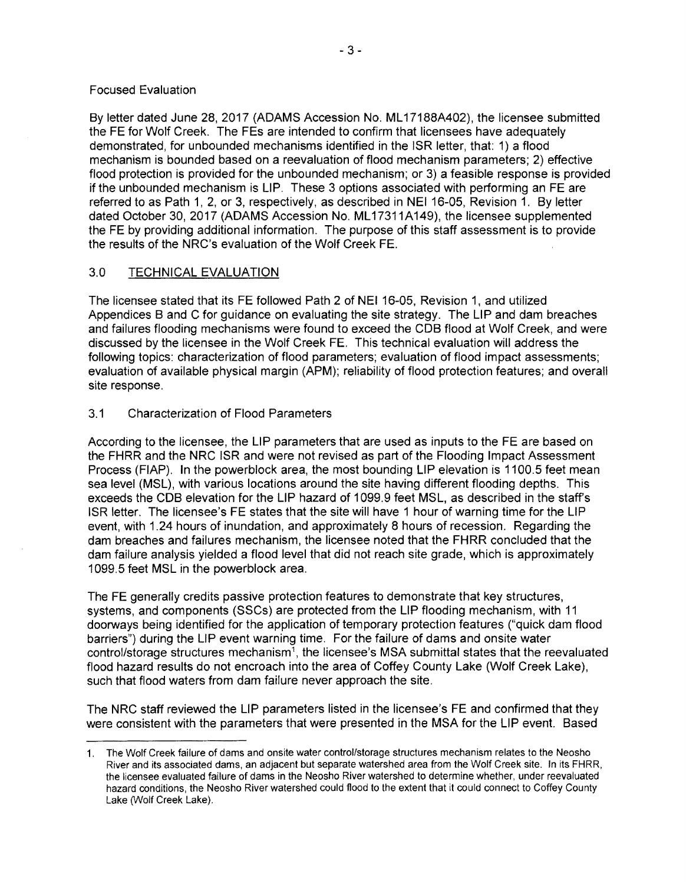#### Focused Evaluation

By letter dated June 28, 2017 (ADAMS Accession No. ML 17188A402), the licensee submitted the FE for Wolf Creek. The FEs are intended to confirm that licensees have adequately demonstrated, for unbounded mechanisms identified in the ISR letter, that: 1) a flood mechanism is bounded based on a reevaluation of flood mechanism parameters; 2) effective flood protection is provided for the unbounded mechanism; or 3) a feasible response is provided if the unbounded mechanism is LIP. These 3 options associated with performing an FE are referred to as Path 1, 2, or 3, respectively, as described in NEI 16-05, Revision 1. By letter dated October 30, 2017 (ADAMS Accession No. ML17311A149), the licensee supplemented the FE by providing additional information. The purpose of this staff assessment is to provide the results of the NRC's evaluation of the Wolf Creek FE.

### 3.0 TECHNICAL EVALUATION

The licensee stated that its FE followed Path 2 of NEI 16-05, Revision 1, and utilized Appendices Band C for guidance on evaluating the site strategy. The LIP and dam breaches and failures flooding mechanisms were found to exceed the COB flood at Wolf Creek, and were discussed by the licensee in the Wolf Creek FE. This technical evaluation will address the following topics: characterization of flood parameters; evaluation of flood impact assessments; evaluation of available physical margin (APM); reliability of flood protection features; and overall site response.

#### 3.1 Characterization of Flood Parameters

According to the licensee, the LIP parameters that are used as inputs to the FE are based on the FHRR and the NRC ISR and were not revised as part of the Flooding Impact Assessment Process (FIAP). In the powerblock area, the most bounding LIP elevation is 1100.5 feet mean sea level (MSL), with various locations around the site having different flooding depths. This exceeds the CDB elevation for the LIP hazard of 1099.9 feet MSL, as described in the staff's ISR letter. The licensee's FE states that the site will have 1 hour of warning time for the LIP event, with 1.24 hours of inundation, and approximately 8 hours of recession. Regarding the dam breaches and failures mechanism, the licensee noted that the FHRR concluded that the dam failure analysis yielded a flood level that did not reach site grade, which is approximately 1099.5 feet MSL in the powerblock area.

The FE generally credits passive protection features to demonstrate that key structures, systems, and components (SSCs) are protected from the LIP flooding mechanism, with 11 doorways being identified for the application of temporary protection features ("quick dam flood barriers") during the LIP event warning time. For the failure of dams and onsite water control/storage structures mechanism<sup>1</sup>, the licensee's MSA submittal states that the reevaluated flood hazard results do not encroach into the area of Coffey County Lake (Wolf Creek Lake), such that flood waters from dam failure never approach the site.

The NRC staff reviewed the LIP parameters listed in the licensee's FE and confirmed that they were consistent with the parameters that were presented in the MSA for the LIP event. Based

<sup>1.</sup> The Wolf Creek failure of dams and onsite water control/storage structures mechanism relates to the Neosho River and its associated dams, an adjacent but separate watershed area from the Wolf Creek site. In its FHRR, the licensee evaluated failure of dams in the Neosho River watershed to determine whether, under reevaluated hazard conditions, the Neosho River watershed could flood to the extent that it could connect to Coffey County Lake (Wolf Creek Lake).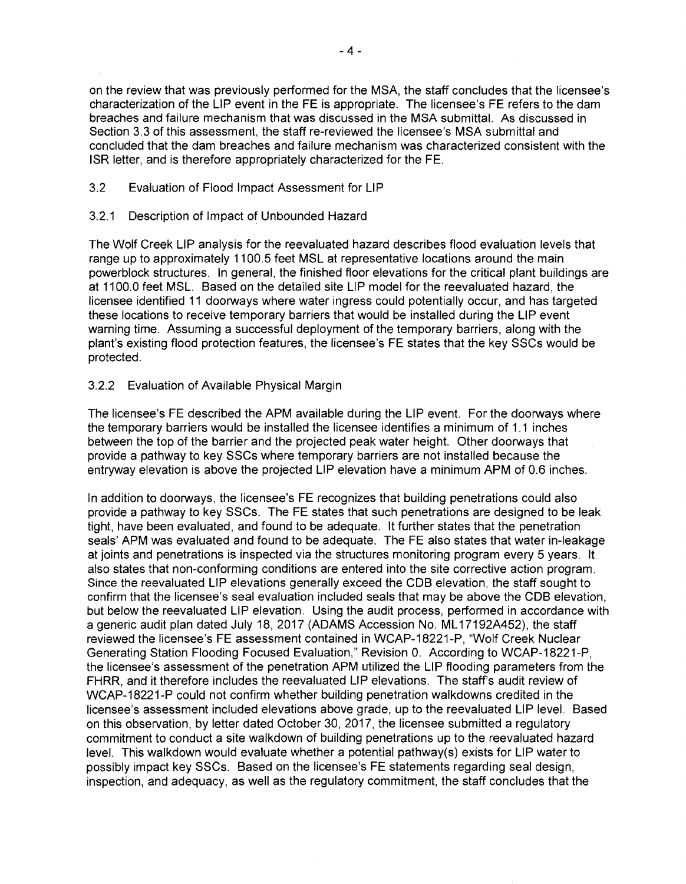on the review that was previously performed for the MSA, the staff concludes that the licensee's characterization of the LIP event in the FE is appropriate. The licensee's FE refers to the dam breaches and failure mechanism that was discussed in the MSA submittal. As discussed in Section 3.3 of this assessment, the staff re-reviewed the licensee's MSA submittal and concluded that the dam breaches and failure mechanism was characterized consistent with the ISR letter, and is therefore appropriately characterized for the FE.

### 3.2 Evaluation of Flood Impact Assessment for LIP

### 3.2.1 Description of Impact of Unbounded Hazard

The Wolf Creek LIP analysis for the reevaluated hazard describes flood evaluation levels that range up to approximately 1100.5 feet MSL at representative locations around the main powerblock structures. In general, the finished floor elevations for the critical plant buildings are at 1100.0 feet MSL. Based on the detailed site LIP model for the reevaluated hazard, the licensee identified 11 doorways where water ingress could potentially occur, and has targeted these locations to receive temporary barriers that would be installed during the LIP event warning time. Assuming a successful deployment of the temporary barriers, along with the plant's existing flood protection features, the licensee's FE states that the key SSCs would be protected.

### 3.2.2 Evaluation of Available Physical Margin

The licensee's FE described the APM available during the LIP event. For the doorways where the temporary barriers would be installed the licensee identifies a minimum of 1.1 inches between the top of the barrier and the projected peak water height. Other doorways that provide a pathway to key SSCs where temporary barriers are not installed because the entryway elevation is above the projected LIP elevation have a minimum APM of 0.6 inches.

In addition to doorways, the licensee's FE recognizes that building penetrations could also provide a pathway to key SSCs. The FE states that such penetrations are designed to be leak tight, have been evaluated, and found to be adequate. It further states that the penetration seals' APM was evaluated and found to be adequate. The FE also states that water in-leakage at joints and penetrations is inspected via the structures monitoring program every 5 years. It also states that non-conforming conditions are entered into the site corrective action program. Since the reevaluated LIP elevations generally exceed the CDB elevation, the staff sought to confirm that the licensee's seal evaluation included seals that may be above the CDB elevation, but below the reevaluated LIP elevation. Using the audit process, performed in accordance with a generic audit plan dated July 18, 2017 (ADAMS Accession No. ML 17192A452), the staff reviewed the licensee's FE assessment contained in WCAP-18221-P, "Wolf Creek Nuclear Generating Station Flooding Focused Evaluation," Revision 0. According to WCAP-18221-P, the licensee's assessment of the penetration APM utilized the LIP flooding parameters from the FHRR, and it therefore includes the reevaluated LIP elevations. The staff's audit review of WCAP-18221-P could not confirm whether building penetration wa!kdowns credited in the licensee's assessment included elevations above grade, up to the reevaluated LIP level. Based on this observation, by letter dated October 30, 2017, the licensee submitted a regulatory commitment to conduct a site walkdown of building penetrations up to the reevaluated hazard level. This walkdown would evaluate whether a potential pathway(s) exists for LIP water to possibly impact key SSCs. Based on the licensee's FE statements regarding seal design, inspection, and adequacy, as well as the regulatory commitment, the staff concludes that the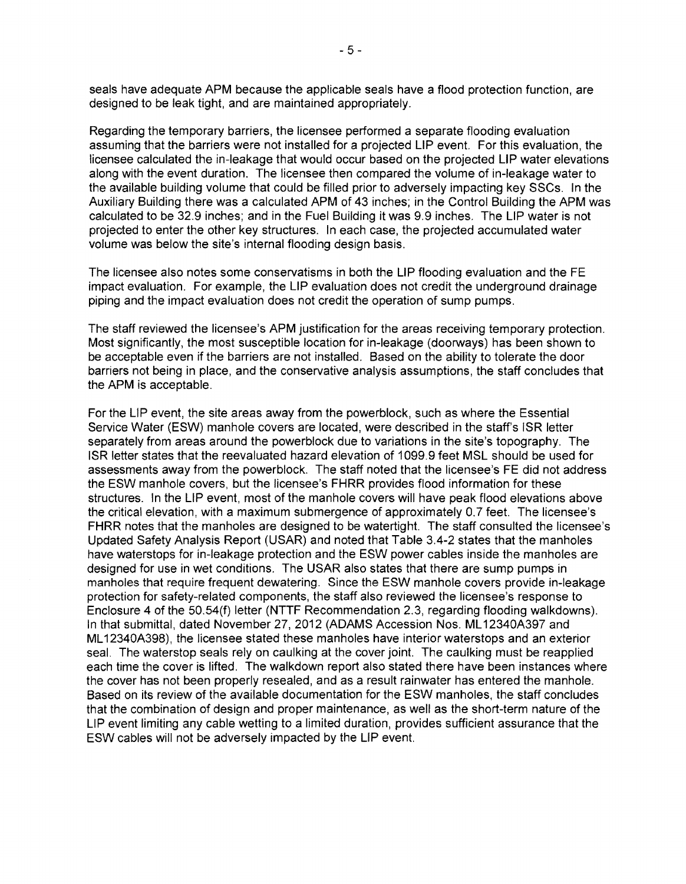seals have adequate APM because the applicable seals have a flood protection function, are designed to be leak tight, and are maintained appropriately.

Regarding the temporary barriers, the licensee performed a separate flooding evaluation assuming that the barriers were not installed for a projected LIP event. For this evaluation, the licensee calculated the in-leakage that would occur based on the projected LIP water elevations along with the event duration. The licensee then compared the volume of in-leakage water to the available building volume that could be filled prior to adversely impacting key SSCs. In the Auxiliary Building there was a calculated APM of 43 inches; in the Control Building the APM was calculated to be 32.9 inches; and in the Fuel Building it was 9.9 inches. The LIP water is not projected to enter the other key structures. In each case, the projected accumulated water volume was below the site's internal flooding design basis.

The licensee also notes some conservatisms in both the LIP flooding evaluation and the FE impact evaluation. For example, the LIP evaluation does not credit the underground drainage piping and the impact evaluation does not credit the operation of sump pumps.

The staff reviewed the licensee's APM justification for the areas receiving temporary protection. Most significantly, the most susceptible location for in-leakage (doorways) has been shown to be acceptable even if the barriers are not installed. Based on the ability to tolerate the door barriers not being in place, and the conservative analysis assumptions, the staff concludes that the APM is acceptable.

For the LIP event, the site areas away from the powerblock, such as where the Essential Service Water (ESW) manhole covers are located, were described in the staff's ISR letter separately from areas around the powerblock due to variations in the site's topography. The ISR letter states that the reevaluated hazard elevation of 1099.9 feet MSL should be used for assessments away from the powerblock. The staff noted that the licensee's FE did not address the ESW manhole covers, but the licensee's FHRR provides flood information for these structures. In the LIP event, most of the manhole covers will have peak flood elevations above the critical elevation, with a maximum submergence of approximately 0.7 feet. The licensee's FHRR notes that the manholes are designed to be watertight. The staff consulted the licensee's Updated Safety Analysis Report (USAR) and noted that Table 3.4-2 states that the manholes have waterstops for in-leakage protection and the ESW power cables inside the manholes are designed for use in wet conditions. The USAR also states that there are sump pumps in manholes that require frequent dewatering. Since the ESW manhole covers provide in-leakage protection for safety-related components, the staff also reviewed the licensee's response to Enclosure 4 of the 50.54(f) letter (NTTF Recommendation 2.3, regarding flooding walkdowns). In that submittal, dated November 27, 2012 (ADAMS Accession Nos. ML 12340A397 and ML 12340A398), the licensee stated these manholes have interior waterstops and an exterior seal. The waterstop seals rely on caulking at the cover joint. The caulking must be reapplied each time the cover is lifted. The walkdown report also stated there have been instances where the cover has not been properly resealed, and as a result rainwater has entered the manhole. Based on its review of the available documentation for the ESW manholes, the staff concludes that the combination of design and proper maintenance, as well as the short-term nature of the LIP event limiting any cable wetting to a limited duration, provides sufficient assurance that the ESW cables will not be adversely impacted by the LIP event.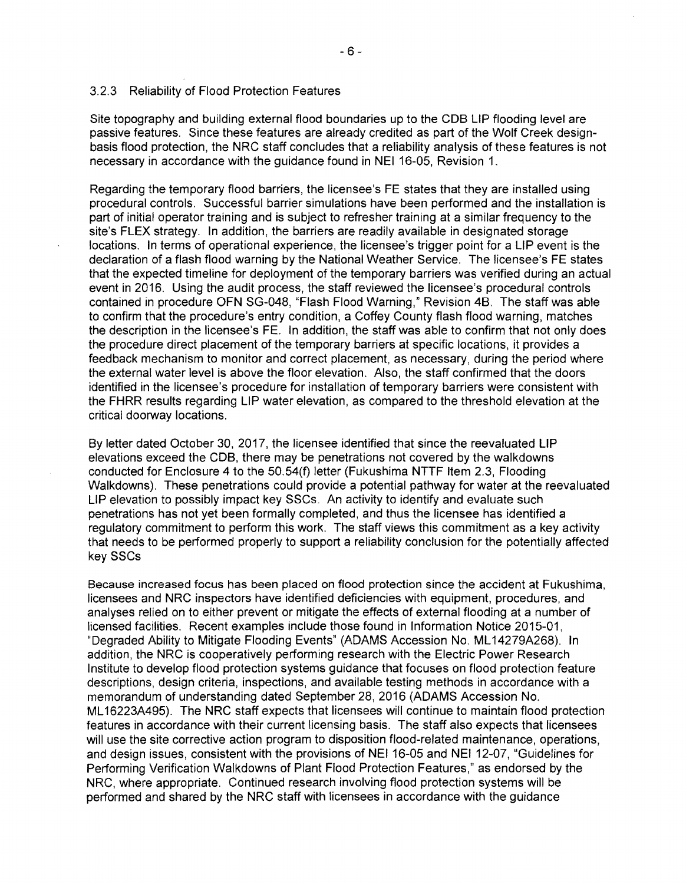#### 3.2.3 Reliability of Flood Protection Features

Site topography and building external flood boundaries up to the CDB LIP flooding level are passive features. Since these features are already credited as part of the Wolf Creek designbasis flood protection, the NRC staff concludes that a reliability analysis of these features is not necessary in accordance with the guidance found in NEI 16-05, Revision 1.

Regarding the temporary flood barriers, the licensee's FE states that they are installed using procedural controls. Successful barrier simulations have been performed and the installation is part of initial operator training and is subject to refresher training at a similar frequency to the site's FLEX strategy. In addition, the barriers are readily available in designated storage locations. In terms of operational experience, the licensee's trigger point for a LIP event is the declaration of a flash flood warning by the National Weather Service. The licensee's FE states that the expected timeline for deployment of the temporary barriers was verified during an actual event in 2016. Using the audit process, the staff reviewed the licensee's procedural controls contained in procedure OFN SG-048, "Flash Flood Warning," Revision 48. The staff was able to confirm that the procedure's entry condition, a Coffey County flash flood warning, matches the description in the licensee's FE. In addition, the staff was able to confirm that not only does the procedure direct placement of the temporary barriers at specific locations, it provides a feedback mechanism to monitor and correct placement, as necessary, during the period where the external water level is above the floor elevation. Also, the staff confirmed that the doors identified in the licensee's procedure for installation of temporary barriers were consistent with the FHRR results regarding LIP water elevation, as compared to the threshold elevation at the critical doorway locations.

By letter dated October 30, 2017, the licensee identified that since the reevaluated LIP elevations exceed the CDB, there may be penetrations not covered by the walkdowns conducted for Enclosure 4 to the 50.54(f) letter (Fukushima NTTF Item 2.3, Flooding Walkdowns). These penetrations could provide a potential pathway for water at the reevaluated LIP elevation to possibly impact key SSCs. An activity to identify and evaluate such penetrations has not yet been formally completed, and thus the licensee has identified a regulatory commitment to perform this work. The staff views this commitment as a key activity that needs to be performed properly to support a reliability conclusion for the potentially affected key SSCs

Because increased focus has been placed on flood protection since the accident at Fukushima, licensees and NRC inspectors have identified deficiencies with equipment, procedures, and analyses relied on to either prevent or mitigate the effects of external flooding at a number of licensed facilities. Recent examples include those found in Information Notice 2015-01, "Degraded Ability to Mitigate Flooding Events" (ADAMS Accession No. ML 14279A268). In addition, the NRC is cooperatively performing research with the Electric Power Research Institute to develop flood protection systems guidance that focuses on flood protection feature descriptions, design criteria, inspections, and available testing methods in accordance with a memorandum of understanding dated September 28, 2016 (ADAMS Accession No. ML 16223A495). The NRC staff expects that licensees will continue to maintain flood protection features in accordance with their current licensing basis. The staff also expects that licensees will use the site corrective action program to disposition flood-related maintenance, operations, and design issues, consistent with the provisions of NEI 16-05 and NEI 12-07, "Guidelines for Performing Verification Walkdowns of Plant Flood Protection Features," as endorsed by the NRC, where appropriate. Continued research involving flood protection systems will be performed and shared by the NRC staff with licensees in accordance with the guidance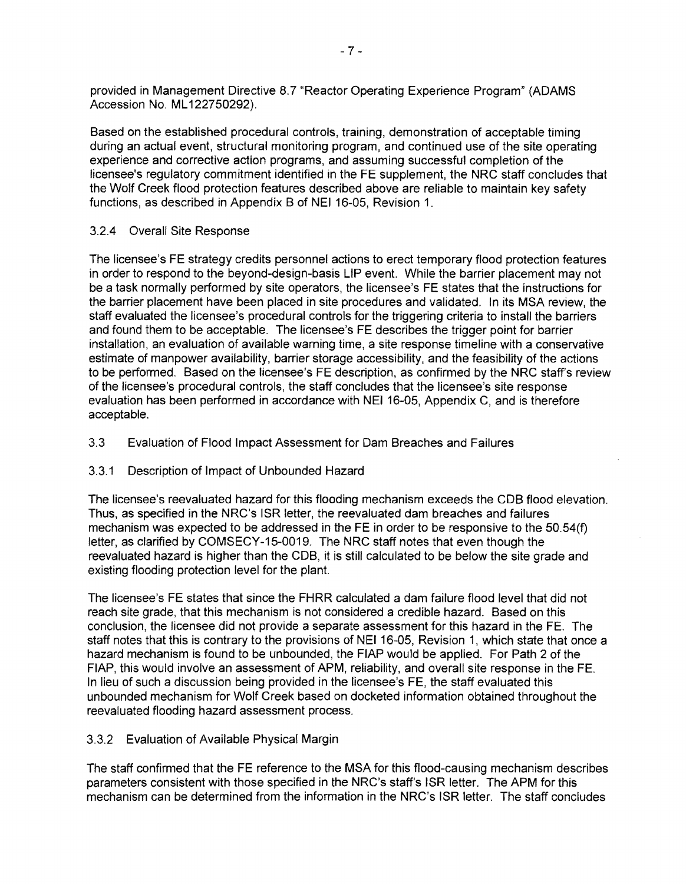provided in Management Directive 8. 7 "Reactor Operating Experience Program" (ADAMS Accession No. ML 122750292).

Based on the established procedural controls, training, demonstration of acceptable timing during an actual event, structural monitoring program, and continued use of the site operating experience and corrective action programs, and assuming successful completion of the licensee's regulatory commitment identified in the FE supplement, the NRC staff concludes that the Wolf Creek flood protection features described above are reliable to maintain key safety functions, as described in Appendix B of NEI 16-05, Revision 1.

### 3.2.4 Overall Site Response

The licensee's FE strategy credits personnel actions to erect temporary flood protection features in order to respond to the beyond-design-basis LIP event. While the barrier placement may not be a task normally performed by site operators, the licensee's FE states that the instructions for the barrier placement have been placed in site procedures and validated. In its MSA review, the staff evaluated the licensee's procedural controls for the triggering criteria to install the barriers and found them to be acceptable. The licensee's FE describes the trigger point for barrier installation, an evaluation of available warning time, a site response timeline with a conservative estimate of manpower availability, barrier storage accessibility, and the feasibility of the actions to be performed. Based on the licensee's FE description, as confirmed by the NRC staff's review of the licensee's procedural controls, the staff concludes that the licensee's site response evaluation has been performed in accordance with NEI 16-05, Appendix C, and is therefore acceptable.

3.3 Evaluation of Flood Impact Assessment for Dam Breaches and Failures

## 3.3.1 Description of Impact of Unbounded Hazard

The licensee's reevaluated hazard for this flooding mechanism exceeds the COB flood elevation. Thus, as specified in the NRC's ISR letter, the reevaluated dam breaches and failures mechanism was expected to be addressed in the FE in order to be responsive to the 50.54(f) letter, as clarified by COMSECY-15-0019. The NRC staff notes that even though the reevaluated hazard is higher than the COB, it is still calculated to be below the site grade and existing flooding protection level for the plant.

The licensee's FE states that since the FHRR calculated a dam failure flood level that did not reach site grade, that this mechanism is not considered a credible hazard. Based on this conclusion, the licensee did not provide a separate assessment for this hazard in the FE. The staff notes that this is contrary to the provisions of NEI 16-05, Revision 1, which state that once a hazard mechanism is found to be unbounded, the FIAP would be applied. For Path 2 of the FIAP, this would involve an assessment of APM, reliability, and overall site response in the FE. In lieu of such a discussion being provided in the licensee's FE, the staff evaluated this unbounded mechanism for Wolf Creek based on docketed information obtained throughout the reevaluated flooding hazard assessment process.

#### 3.3.2 Evaluation of Available Physical Margin

The staff confirmed that the FE reference to the MSA for this flood-causing mechanism describes parameters consistent with those specified in the NRC's staff's ISR letter. The APM for this mechanism can be determined from the information in the NRC's ISR letter. The staff concludes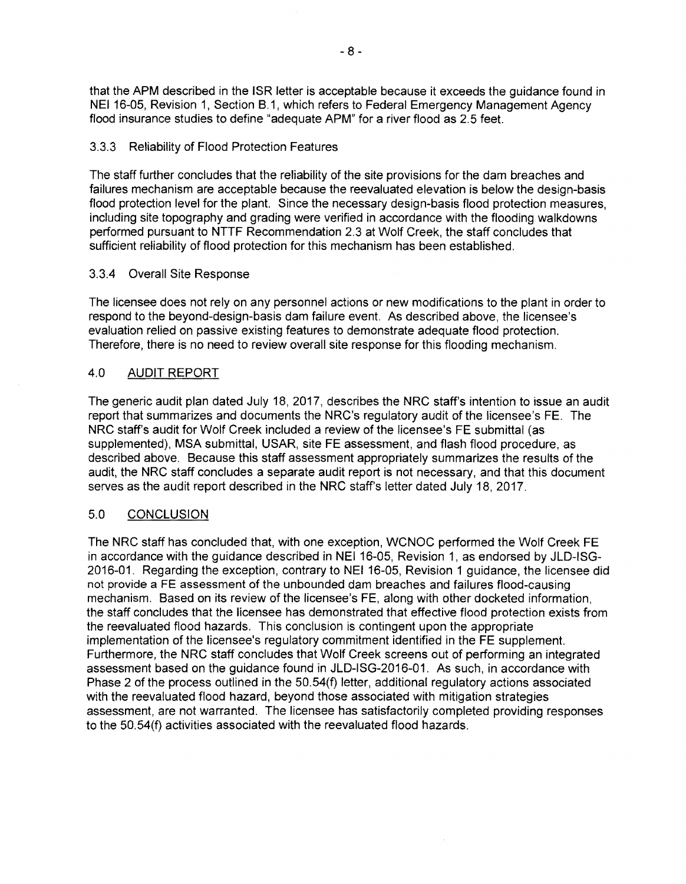that the APM described in the ISR letter is acceptable because it exceeds the guidance found in NEI 16-05, Revision 1, Section B.1, which refers to Federal Emergency Management Agency flood insurance studies to define "adequate APM" for a river flood as 2.5 feet.

### 3.3.3 Reliability of Flood Protection Features

The staff further concludes that the reliability of the site provisions for the dam breaches and failures mechanism are acceptable because the reevaluated elevation is below the design-basis flood protection level for the plant. Since the necessary design-basis flood protection measures, including site topography and grading were verified in accordance with the flooding walkdowns performed pursuant to NTTF Recommendation 2.3 at Wolf Creek, the staff concludes that sufficient reliability of flood protection for this mechanism has been established.

### 3.3.4 Overall Site Response

The licensee does not rely on any personnel actions or new modifications to the plant in order to respond to the beyond-design-basis dam failure event. As described above, the licensee's evaluation relied on passive existing features to demonstrate adequate flood protection. Therefore, there is no need to review overall site response for this flooding mechanism.

## 4.0 AUDIT REPORT

The generic audit plan dated July 18, 2017, describes the NRC staff's intention to issue an audit report that summarizes and documents the NRC's regulatory audit of the licensee's FE. The NRC staff's audit for Wolf Creek included a review of the licensee's FE submittal (as supplemented), MSA submittal, USAR, site FE assessment, and flash flood procedure, as described above. Because this staff assessment appropriately summarizes the results of the audit, the NRC staff concludes a separate audit report is not necessary, and that this document serves as the audit report described in the NRC staff's letter dated July 18, 2017.

## 5.0 CONCLUSION

The NRC staff has concluded that, with one exception, WCNOC performed the Wolf Creek FE in accordance with the guidance described in NEI 16-05, Revision 1, as endorsed by JLD-ISG-2016-01. Regarding the exception, contrary to NEI 16-05, Revision 1 guidance, the licensee did not provide a FE assessment of the unbounded dam breaches and failures flood-causing mechanism. Based on its review of the licensee's FE, along with other docketed information, the staff concludes that the licensee has demonstrated that effective flood protection exists from the reevaluated flood hazards. This conclusion is contingent upon the appropriate implementation of the licensee's regulatory commitment identified in the FE supplement. Furthermore, the NRC staff concludes that Wolf Creek screens out of performing an integrated assessment based on the guidance found in JLD-ISG-2016-01. As such, in accordance with Phase 2 of the process outlined in the 50.54(f) letter, additional regulatory actions associated with the reevaluated flood hazard, beyond those associated with mitigation strategies assessment, are not warranted. The licensee has satisfactorily completed providing responses to the 50.54(f) activities associated with the reevaluated flood hazards.